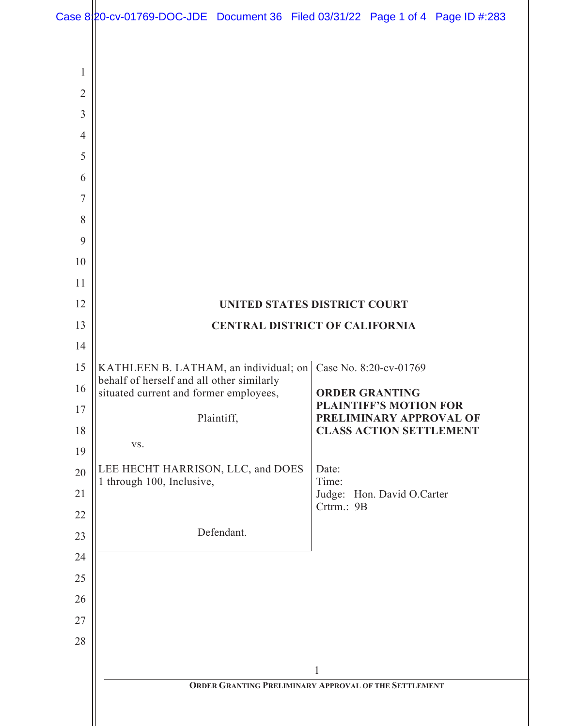Case  $8\left| \right\rangle$  Po-cv-01769-DOC-JDE Document 36 Filed 03/31/22 Page 1 of 4 Page ID #:283

| $\mathbf{1}$   |                                                                                    |                                                          |
|----------------|------------------------------------------------------------------------------------|----------------------------------------------------------|
| $\overline{2}$ |                                                                                    |                                                          |
| $\overline{3}$ |                                                                                    |                                                          |
| $\overline{4}$ |                                                                                    |                                                          |
| 5              |                                                                                    |                                                          |
| 6              |                                                                                    |                                                          |
| 7              |                                                                                    |                                                          |
| 8              |                                                                                    |                                                          |
| 9              |                                                                                    |                                                          |
| 10             |                                                                                    |                                                          |
| 11             |                                                                                    |                                                          |
| 12             |                                                                                    | UNITED STATES DISTRICT COURT                             |
| 13             | <b>CENTRAL DISTRICT OF CALIFORNIA</b>                                              |                                                          |
| 14             |                                                                                    |                                                          |
| 15             | KATHLEEN B. LATHAM, an individual; on<br>behalf of herself and all other similarly | Case No. 8:20-cv-01769                                   |
| 16             | situated current and former employees,                                             | <b>ORDER GRANTING</b>                                    |
| 17             | Plaintiff,                                                                         | <b>PLAINTIFF'S MOTION FOR</b><br>PRELIMINARY APPROVAL OF |
| 18             | VS.                                                                                | <b>CLASS ACTION SETTLEMENT</b>                           |
| 19             |                                                                                    |                                                          |
| 20             | LEE HECHT HARRISON, LLC, and DOES<br>1 through 100, Inclusive,                     | Date:<br>Time:                                           |
| 21             |                                                                                    | Judge: Hon. David O.Carter<br>Crtrm.: 9B                 |
| 22             | Defendant.                                                                         |                                                          |
| 23<br>24       |                                                                                    |                                                          |
| 25             |                                                                                    |                                                          |
| 26             |                                                                                    |                                                          |
| 27             |                                                                                    |                                                          |
| 28             |                                                                                    |                                                          |
|                |                                                                                    |                                                          |
|                | $\mathbf{1}$<br>ORDER GRANTING PRELIMINARY APPROVAL OF THE SETTLEMENT              |                                                          |
|                |                                                                                    |                                                          |
|                |                                                                                    |                                                          |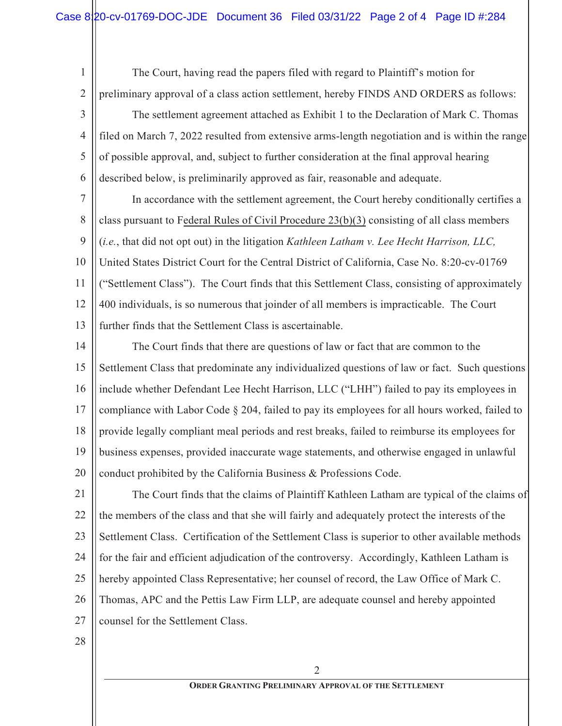The Court, having read the papers filed with regard to Plaintiff's motion for preliminary approval of a class action settlement, hereby FINDS AND ORDERS as follows:

3 4 5 6 The settlement agreement attached as Exhibit 1 to the Declaration of Mark C. Thomas filed on March 7, 2022 resulted from extensive arms-length negotiation and is within the range of possible approval, and, subject to further consideration at the final approval hearing described below, is preliminarily approved as fair, reasonable and adequate.

7 8 9 10 11 12 13 In accordance with the settlement agreement, the Court hereby conditionally certifies a class pursuant to Federal Rules of Civil Procedure 23(b)(3) consisting of all class members (*i.e.*, that did not opt out) in the litigation *Kathleen Latham v. Lee Hecht Harrison, LLC,*  United States District Court for the Central District of California, Case No. 8:20-cv-01769 ("Settlement Class"). The Court finds that this Settlement Class, consisting of approximately 400 individuals, is so numerous that joinder of all members is impracticable. The Court further finds that the Settlement Class is ascertainable.

14 15 16 17 18 19 20 The Court finds that there are questions of law or fact that are common to the Settlement Class that predominate any individualized questions of law or fact. Such questions include whether Defendant Lee Hecht Harrison, LLC ("LHH") failed to pay its employees in compliance with Labor Code § 204, failed to pay its employees for all hours worked, failed to provide legally compliant meal periods and rest breaks, failed to reimburse its employees for business expenses, provided inaccurate wage statements, and otherwise engaged in unlawful conduct prohibited by the California Business & Professions Code.

21 22 23 24 25 26 27 The Court finds that the claims of Plaintiff Kathleen Latham are typical of the claims of the members of the class and that she will fairly and adequately protect the interests of the Settlement Class. Certification of the Settlement Class is superior to other available methods for the fair and efficient adjudication of the controversy. Accordingly, Kathleen Latham is hereby appointed Class Representative; her counsel of record, the Law Office of Mark C. Thomas, APC and the Pettis Law Firm LLP, are adequate counsel and hereby appointed counsel for the Settlement Class.

28

1

2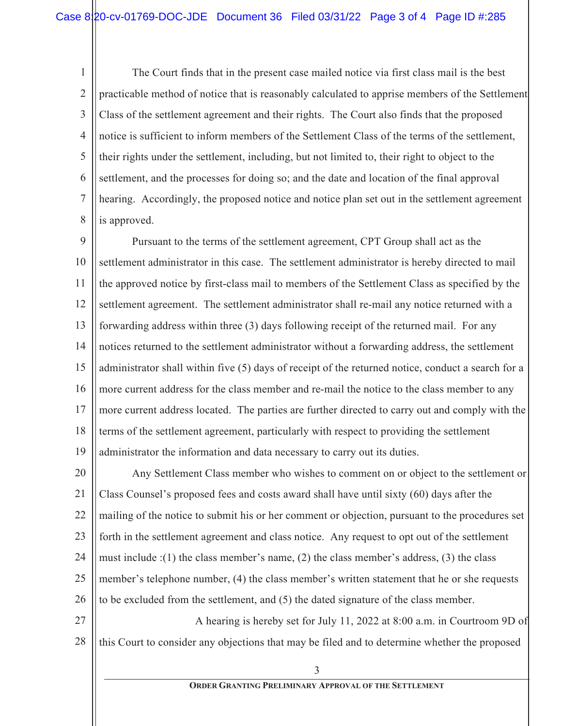1 2 3 4 5 6 7 8 The Court finds that in the present case mailed notice via first class mail is the best practicable method of notice that is reasonably calculated to apprise members of the Settlement Class of the settlement agreement and their rights. The Court also finds that the proposed notice is sufficient to inform members of the Settlement Class of the terms of the settlement, their rights under the settlement, including, but not limited to, their right to object to the settlement, and the processes for doing so; and the date and location of the final approval hearing. Accordingly, the proposed notice and notice plan set out in the settlement agreement is approved.

9 10 11 12 13 14 15 16 17 18 19 Pursuant to the terms of the settlement agreement, CPT Group shall act as the settlement administrator in this case. The settlement administrator is hereby directed to mail the approved notice by first-class mail to members of the Settlement Class as specified by the settlement agreement. The settlement administrator shall re-mail any notice returned with a forwarding address within three (3) days following receipt of the returned mail. For any notices returned to the settlement administrator without a forwarding address, the settlement administrator shall within five (5) days of receipt of the returned notice, conduct a search for a more current address for the class member and re-mail the notice to the class member to any more current address located. The parties are further directed to carry out and comply with the terms of the settlement agreement, particularly with respect to providing the settlement administrator the information and data necessary to carry out its duties.

20 21 22 23 24 25 26 Any Settlement Class member who wishes to comment on or object to the settlement or Class Counsel's proposed fees and costs award shall have until sixty (60) days after the mailing of the notice to submit his or her comment or objection, pursuant to the procedures set forth in the settlement agreement and class notice. Any request to opt out of the settlement must include :(1) the class member's name, (2) the class member's address, (3) the class member's telephone number, (4) the class member's written statement that he or she requests to be excluded from the settlement, and (5) the dated signature of the class member.

27 28 A hearing is hereby set for July 11, 2022 at  $8:00$  a.m. in Courtroom 9D of this Court to consider any objections that may be filed and to determine whether the proposed